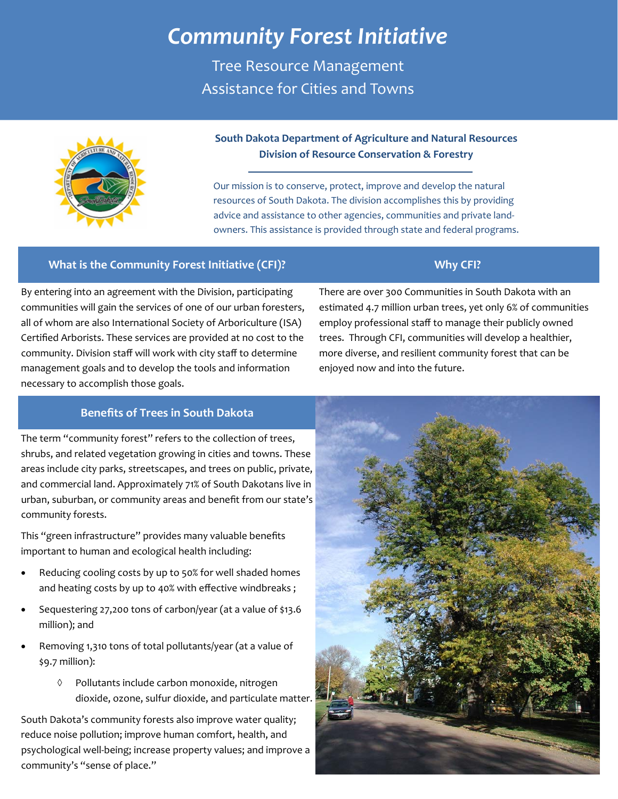# *Community Forest Initiative*

Tree Resource Management Assistance for Cities and Towns



## **South Dakota Department of Agriculture and Natural Resources Division of Resource Conservation & Forestry**

Our mission is to conserve, protect, improve and develop the natural resources of South Dakota. The division accomplishes this by providing advice and assistance to other agencies, communities and private land‐ owners. This assistance is provided through state and federal programs.

#### **What is the Community Forest Initiative (CFI)? Why CFI?**

By entering into an agreement with the Division, participating communities will gain the services of one of our urban foresters, all of whom are also International Society of Arboriculture (ISA) Certified Arborists. These services are provided at no cost to the community. Division staff will work with city staff to determine management goals and to develop the tools and information necessary to accomplish those goals.

There are over 300 Communities in South Dakota with an estimated 4.7 million urban trees, yet only 6% of communities employ professional staff to manage their publicly owned trees. Through CFI, communities will develop a healthier, more diverse, and resilient community forest that can be enjoyed now and into the future.

#### **Benefits of Trees in South Dakota**

The term "community forest" refers to the collection of trees, shrubs, and related vegetation growing in cities and towns. These areas include city parks, streetscapes, and trees on public, private, and commercial land. Approximately 71% of South Dakotans live in urban, suburban, or community areas and benefit from our state's community forests.

This "green infrastructure" provides many valuable benefits important to human and ecological health including:

- Reducing cooling costs by up to 50% for well shaded homes and heating costs by up to 40% with effective windbreaks ;
- Sequestering 27,200 tons of carbon/year (at a value of \$13.6 million); and
- Removing 1,310 tons of total pollutants/year (at a value of \$9.7 million):
	- Pollutants include carbon monoxide, nitrogen dioxide, ozone, sulfur dioxide, and particulate matter.

South Dakota's community forests also improve water quality; reduce noise pollution; improve human comfort, health, and psychological well‐being; increase property values; and improve a community's "sense of place."